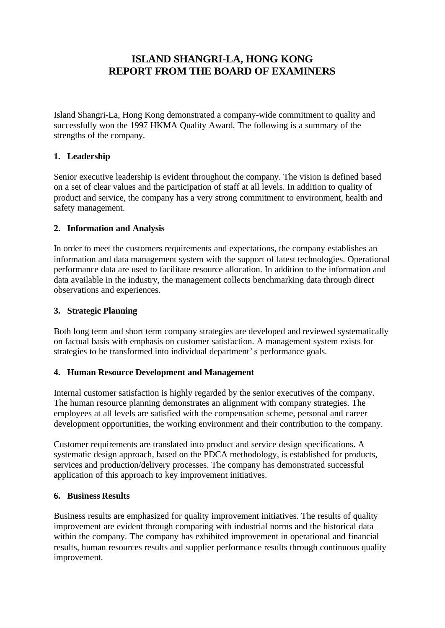# **ISLAND SHANGRI-LA, HONG KONG REPORT FROM THE BOARD OF EXAMINERS**

Island Shangri-La, Hong Kong demonstrated a company-wide commitment to quality and successfully won the 1997 HKMA Quality Award. The following is a summary of the strengths of the company.

## **1. Leadership**

Senior executive leadership is evident throughout the company. The vision is defined based on a set of clear values and the participation of staff at all levels. In addition to quality of product and service, the company has a very strong commitment to environment, health and safety management.

### **2. Information and Analysis**

In order to meet the customers requirements and expectations, the company establishes an information and data management system with the support of latest technologies. Operational performance data are used to facilitate resource allocation. In addition to the information and data available in the industry, the management collects benchmarking data through direct observations and experiences.

### **3. Strategic Planning**

Both long term and short term company strategies are developed and reviewed systematically on factual basis with emphasis on customer satisfaction. A management system exists for strategies to be transformed into individual department's performance goals.

### **4. Human Resource Development and Management**

Internal customer satisfaction is highly regarded by the senior executives of the company. The human resource planning demonstrates an alignment with company strategies. The employees at all levels are satisfied with the compensation scheme, personal and career development opportunities, the working environment and their contribution to the company.

Customer requirements are translated into product and service design specifications. A systematic design approach, based on the PDCA methodology, is established for products, services and production/delivery processes. The company has demonstrated successful application of this approach to key improvement initiatives.

### **6. Business Results**

Business results are emphasized for quality improvement initiatives. The results of quality improvement are evident through comparing with industrial norms and the historical data within the company. The company has exhibited improvement in operational and financial results, human resources results and supplier performance results through continuous quality improvement.